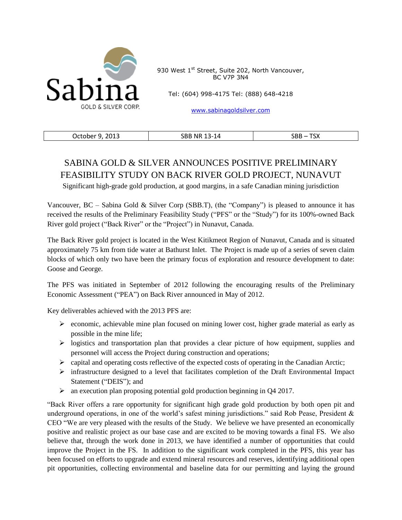

930 West 1<sup>st</sup> Street, Suite 202, North Vancouver, BC V7P 3N4

Tel: (604) 998-4175 Tel: (888) 648-4218

[www.sabinagoldsilver.com](http://www.sabinagoldsilver.com/)

| 2013<br>October | BBد<br><b>NR</b><br>- 1<br>. .<br>1Δ<br>∼-<br>-- - | ᠇ᠭᠭ<br><b>SBB</b><br>∧כ ו |
|-----------------|----------------------------------------------------|---------------------------|
|-----------------|----------------------------------------------------|---------------------------|

# SABINA GOLD & SILVER ANNOUNCES POSITIVE PRELIMINARY FEASIBILITY STUDY ON BACK RIVER GOLD PROJECT, NUNAVUT

Significant high-grade gold production, at good margins, in a safe Canadian mining jurisdiction

Vancouver,  $BC -$  Sabina Gold & Silver Corp (SBB.T), (the "Company") is pleased to announce it has received the results of the Preliminary Feasibility Study ("PFS" or the "Study") for its 100%-owned Back River gold project ("Back River" or the "Project") in Nunavut, Canada.

The Back River gold project is located in the West Kitikmeot Region of Nunavut, Canada and is situated approximately 75 km from tide water at Bathurst Inlet. The Project is made up of a series of seven claim blocks of which only two have been the primary focus of exploration and resource development to date: Goose and George.

The PFS was initiated in September of 2012 following the encouraging results of the Preliminary Economic Assessment ("PEA") on Back River announced in May of 2012.

Key deliverables achieved with the 2013 PFS are:

- $\triangleright$  economic, achievable mine plan focused on mining lower cost, higher grade material as early as possible in the mine life;
- $\triangleright$  logistics and transportation plan that provides a clear picture of how equipment, supplies and personnel will access the Project during construction and operations;
- $\triangleright$  capital and operating costs reflective of the expected costs of operating in the Canadian Arctic;
- infrastructure designed to a level that facilitates completion of the Draft Environmental Impact Statement ("DEIS"); and
- an execution plan proposing potential gold production beginning in Q4 2017.

"Back River offers a rare opportunity for significant high grade gold production by both open pit and underground operations, in one of the world's safest mining jurisdictions." said Rob Pease, President & CEO "We are very pleased with the results of the Study. We believe we have presented an economically positive and realistic project as our base case and are excited to be moving towards a final FS. We also believe that, through the work done in 2013, we have identified a number of opportunities that could improve the Project in the FS. In addition to the significant work completed in the PFS, this year has been focused on efforts to upgrade and extend mineral resources and reserves, identifying additional open pit opportunities, collecting environmental and baseline data for our permitting and laying the ground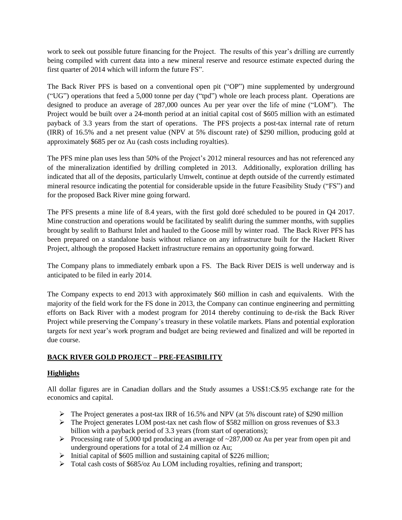work to seek out possible future financing for the Project. The results of this year's drilling are currently being compiled with current data into a new mineral reserve and resource estimate expected during the first quarter of 2014 which will inform the future FS".

The Back River PFS is based on a conventional open pit ("OP") mine supplemented by underground ("UG") operations that feed a 5,000 tonne per day ("tpd") whole ore leach process plant. Operations are designed to produce an average of 287,000 ounces Au per year over the life of mine ("LOM"). The Project would be built over a 24-month period at an initial capital cost of \$605 million with an estimated payback of 3.3 years from the start of operations. The PFS projects a post-tax internal rate of return (IRR) of 16.5% and a net present value (NPV at 5% discount rate) of \$290 million, producing gold at approximately \$685 per oz Au (cash costs including royalties).

The PFS mine plan uses less than 50% of the Project's 2012 mineral resources and has not referenced any of the mineralization identified by drilling completed in 2013. Additionally, exploration drilling has indicated that all of the deposits, particularly Umwelt, continue at depth outside of the currently estimated mineral resource indicating the potential for considerable upside in the future Feasibility Study ("FS") and for the proposed Back River mine going forward.

The PFS presents a mine life of 8.4 years, with the first gold doré scheduled to be poured in Q4 2017. Mine construction and operations would be facilitated by sealift during the summer months, with supplies brought by sealift to Bathurst Inlet and hauled to the Goose mill by winter road. The Back River PFS has been prepared on a standalone basis without reliance on any infrastructure built for the Hackett River Project, although the proposed Hackett infrastructure remains an opportunity going forward.

The Company plans to immediately embark upon a FS. The Back River DEIS is well underway and is anticipated to be filed in early 2014.

The Company expects to end 2013 with approximately \$60 million in cash and equivalents. With the majority of the field work for the FS done in 2013, the Company can continue engineering and permitting efforts on Back River with a modest program for 2014 thereby continuing to de-risk the Back River Project while preserving the Company's treasury in these volatile markets*.* Plans and potential exploration targets for next year's work program and budget are being reviewed and finalized and will be reported in due course.

# **BACK RIVER GOLD PROJECT – PRE-FEASIBILITY**

# **Highlights**

All dollar figures are in Canadian dollars and the Study assumes a US\$1:C\$.95 exchange rate for the economics and capital.

- $\triangleright$  The Project generates a post-tax IRR of 16.5% and NPV (at 5% discount rate) of \$290 million
- $\triangleright$  The Project generates LOM post-tax net cash flow of \$582 million on gross revenues of \$3.3 billion with a payback period of 3.3 years (from start of operations);
- Processing rate of 5,000 tpd producing an average of  $\sim$ 287,000 oz Au per year from open pit and underground operations for a total of 2.4 million oz Au;
- $\triangleright$  Initial capital of \$605 million and sustaining capital of \$226 million;
- Total cash costs of \$685/oz Au LOM including royalties, refining and transport;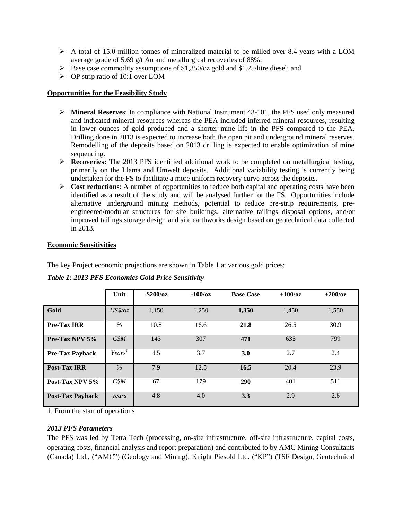- $\triangleright$  A total of 15.0 million tonnes of mineralized material to be milled over 8.4 years with a LOM average grade of 5.69 g/t Au and metallurgical recoveries of 88%;
- $\triangleright$  Base case commodity assumptions of \$1,350/oz gold and \$1.25/litre diesel; and
- $\triangleright$  OP strip ratio of 10:1 over LOM

# **Opportunities for the Feasibility Study**

- **Mineral Reserves**: In compliance with National Instrument 43-101, the PFS used only measured and indicated mineral resources whereas the PEA included inferred mineral resources, resulting in lower ounces of gold produced and a shorter mine life in the PFS compared to the PEA. Drilling done in 2013 is expected to increase both the open pit and underground mineral reserves. Remodelling of the deposits based on 2013 drilling is expected to enable optimization of mine sequencing.
- **Recoveries:** The 2013 PFS identified additional work to be completed on metallurgical testing, primarily on the Llama and Umwelt deposits. Additional variability testing is currently being undertaken for the FS to facilitate a more uniform recovery curve across the deposits.
- **Cost reductions**: A number of opportunities to reduce both capital and operating costs have been identified as a result of the study and will be analysed further for the FS. Opportunities include alternative underground mining methods, potential to reduce pre-strip requirements, preengineered/modular structures for site buildings, alternative tailings disposal options, and/or improved tailings storage design and site earthworks design based on geotechnical data collected in 2013.

# **Economic Sensitivities**

The key Project economic projections are shown in Table 1 at various gold prices:

|                         | Unit      | $-$ \$200/oz | $-100/\text{oz}$ | <b>Base Case</b> | $+100/\text{oz}$ | $+200/\text{o}z$ |
|-------------------------|-----------|--------------|------------------|------------------|------------------|------------------|
| Gold                    | $US\$/oz$ | 1,150        | 1,250            | 1,350            | 1,450            | 1,550            |
| <b>Pre-Tax IRR</b>      | $\%$      | 10.8         | 16.6             | 21.8             | 26.5             | 30.9             |
| Pre-Tax NPV 5%          | C\$M      | 143          | 307              | 471              | 635              | 799              |
| <b>Pre-Tax Payback</b>  | Years'    | 4.5          | 3.7              | 3.0              | 2.7              | 2.4              |
| <b>Post-Tax IRR</b>     | $\%$      | 7.9          | 12.5             | 16.5             | 20.4             | 23.9             |
| Post-Tax NPV 5%         | CSM       | 67           | 179              | 290              | 401              | 511              |
| <b>Post-Tax Payback</b> | years     | 4.8          | 4.0              | 3.3              | 2.9              | 2.6              |

# *Table 1: 2013 PFS Economics Gold Price Sensitivity*

1. From the start of operations

# *2013 PFS Parameters*

The PFS was led by Tetra Tech (processing, on-site infrastructure, off-site infrastructure, capital costs, operating costs, financial analysis and report preparation) and contributed to by AMC Mining Consultants (Canada) Ltd., ("AMC") (Geology and Mining), Knight Piesold Ltd. ("KP") (TSF Design, Geotechnical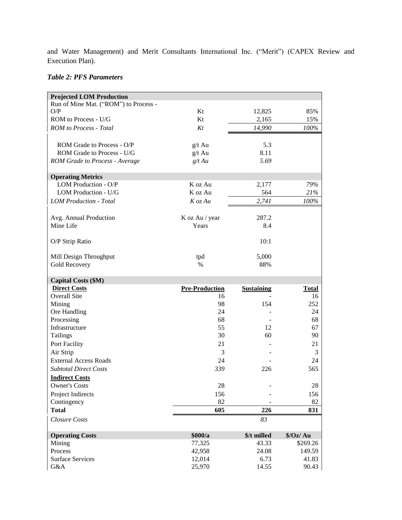and Water Management) and Merit Consultants International Inc. ("Merit") (CAPEX Review and Execution Plan).

# *Table 2: PFS Parameters*

| <b>Projected LOM Production</b>           |                       |                      |                     |
|-------------------------------------------|-----------------------|----------------------|---------------------|
| Run of Mine Mat. ("ROM") to Process -     |                       |                      |                     |
| O/P                                       | Kt                    | 12,825               | 85%                 |
| ROM to Process - U/G                      | Kt                    | 2,165                | 15%                 |
| <b>ROM</b> to Process - Total             | Kt                    | 14,990               | 100%                |
|                                           |                       |                      |                     |
| ROM Grade to Process - O/P                | $g/t$ Au              | 5.3                  |                     |
| ROM Grade to Process - U/G                | $g/t$ Au              | 8.11                 |                     |
| <b>ROM Grade to Process - Average</b>     | $g/t$ Au              | 5.69                 |                     |
|                                           |                       |                      |                     |
| <b>Operating Metrics</b>                  |                       |                      |                     |
| LOM Production - O/P                      | K oz Au               | 2,177                | 79%                 |
| LOM Production - U/G                      | K oz Au               | 564                  | 21%                 |
| <b>LOM Production - Total</b>             | $K$ oz Au             | 2,741                | $100\%$             |
|                                           |                       |                      |                     |
| Avg. Annual Production                    | K oz Au / year        | 287.2                |                     |
| Mine Life                                 | Years                 | 8.4                  |                     |
|                                           |                       |                      |                     |
| O/P Strip Ratio                           |                       | 10:1                 |                     |
|                                           |                       |                      |                     |
| Mill Design Throughput                    | tpd                   | 5,000                |                     |
| <b>Gold Recovery</b>                      | $\%$                  | 88%                  |                     |
| <b>Capital Costs (\$M)</b>                |                       |                      |                     |
|                                           |                       |                      |                     |
|                                           |                       |                      |                     |
| <b>Direct Costs</b>                       | <b>Pre-Production</b> | <b>Sustaining</b>    | <b>Total</b>        |
| Overall Site                              | 16                    |                      | 16                  |
| Mining                                    | 98<br>24              | 154                  | 252<br>24           |
| Ore Handling                              | 68                    |                      | 68                  |
| Processing<br>Infrastructure              | 55                    | 12                   | 67                  |
|                                           | 30                    | 60                   | 90                  |
| Tailings                                  | 21                    |                      | 21                  |
| Port Facility                             | 3                     |                      | 3                   |
| Air Strip<br><b>External Access Roads</b> | 24                    |                      | 24                  |
|                                           | 339                   |                      |                     |
| <b>Subtotal Direct Costs</b>              |                       | 226                  | 565                 |
| <b>Indirect Costs</b>                     |                       |                      |                     |
| <b>Owner's Costs</b>                      | 28                    |                      | 28                  |
| Project Indirects                         | 156                   |                      | 156                 |
| Contingency                               | 82                    |                      | 82                  |
| <b>Total</b>                              | 605                   | 226                  | 831                 |
| <b>Closure Costs</b>                      |                       | 83                   |                     |
|                                           |                       |                      |                     |
| <b>Operating Costs</b>                    | \$000/a<br>77,325     | \$/t milled<br>43.33 | 9/Oz/Au<br>\$269.26 |
| Mining<br>Process                         | 42,958                | 24.08                | 149.59              |
| <b>Surface Services</b>                   | 12,014                | 6.73                 | 41.83               |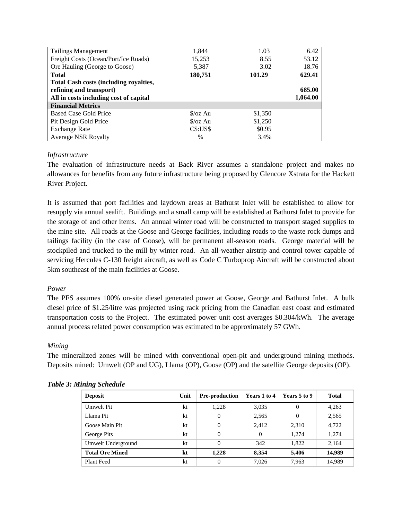| <b>Tailings Management</b>                    | 1,844             | 1.03    | 6.42     |
|-----------------------------------------------|-------------------|---------|----------|
| Freight Costs (Ocean/Port/Ice Roads)          | 15,253            | 8.55    | 53.12    |
| Ore Hauling (George to Goose)                 | 5,387             | 3.02    | 18.76    |
| <b>Total</b>                                  | 180,751           | 101.29  | 629.41   |
| <b>Total Cash costs (including royalties,</b> |                   |         |          |
| refining and transport)                       |                   | 685.00  |          |
| All in costs including cost of capital        |                   |         | 1,064.00 |
| <b>Financial Metrics</b>                      |                   |         |          |
| <b>Based Case Gold Price</b>                  | $\sqrt{2}$ /0z Au | \$1,350 |          |
| Pit Design Gold Price                         | $\sqrt{2}$ /0z Au | \$1,250 |          |
| <b>Exchange Rate</b>                          | $CS:US\$          | \$0.95  |          |
| <b>Average NSR Royalty</b>                    | $\%$              | 3.4%    |          |

# *Infrastructure*

The evaluation of infrastructure needs at Back River assumes a standalone project and makes no allowances for benefits from any future infrastructure being proposed by Glencore Xstrata for the Hackett River Project.

It is assumed that port facilities and laydown areas at Bathurst Inlet will be established to allow for resupply via annual sealift. Buildings and a small camp will be established at Bathurst Inlet to provide for the storage of and other items. An annual winter road will be constructed to transport staged supplies to the mine site. All roads at the Goose and George facilities, including roads to the waste rock dumps and tailings facility (in the case of Goose), will be permanent all-season roads. George material will be stockpiled and trucked to the mill by winter road. An all-weather airstrip and control tower capable of servicing Hercules C-130 freight aircraft, as well as Code C Turboprop Aircraft will be constructed about 5km southeast of the main facilities at Goose.

# *Power*

The PFS assumes 100% on-site diesel generated power at Goose, George and Bathurst Inlet. A bulk diesel price of \$1.25/litre was projected using rack pricing from the Canadian east coast and estimated transportation costs to the Project. The estimated power unit cost averages \$0.304/kWh. The average annual process related power consumption was estimated to be approximately 57 GWh.

# *Mining*

The mineralized zones will be mined with conventional open-pit and underground mining methods. Deposits mined: Umwelt (OP and UG), Llama (OP), Goose (OP) and the satellite George deposits (OP).

| <b>Deposit</b>         | Unit | <b>Pre-production</b> | Years 1 to 4 | Years 5 to 9 | <b>Total</b> |
|------------------------|------|-----------------------|--------------|--------------|--------------|
| Umwelt Pit             | kt   | 1,228                 | 3,035        | 0            | 4,263        |
| Llama Pit              | kt   | $\boldsymbol{0}$      | 2,565        | $\theta$     | 2,565        |
| Goose Main Pit         | kt   | $\Omega$              | 2.412        | 2,310        | 4,722        |
| George Pits            | kt   | 0                     | 0            | 1.274        | 1,274        |
| Umwelt Underground     | kt   | $\Omega$              | 342          | 1.822        | 2,164        |
| <b>Total Ore Mined</b> | kt   | 1.228                 | 8.354        | 5,406        | 14,989       |
| Plant Feed             | kt   | 0                     | 7.026        | 7.963        | 14,989       |

# *Table 3: Mining Schedule*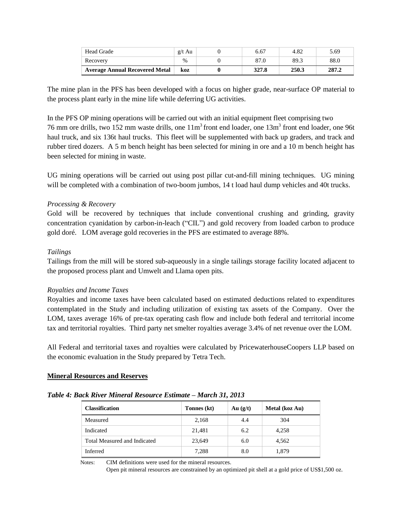| <b>Head Grade</b>                     | $g/t$ Au | 6.67  | 4.82  | 5.69  |
|---------------------------------------|----------|-------|-------|-------|
| Recovery                              | $\%$     | 87.0  | 89.3  | 88.0  |
| <b>Average Annual Recovered Metal</b> | koz      | 327.8 | 250.3 | 287.2 |

The mine plan in the PFS has been developed with a focus on higher grade, near-surface OP material to the process plant early in the mine life while deferring UG activities.

In the PFS OP mining operations will be carried out with an initial equipment fleet comprising two 76 mm ore drills, two 152 mm waste drills, one  $11m<sup>3</sup>$  front end loader, one 13m<sup>3</sup> front end loader, one 96t haul truck, and six 136t haul trucks. This fleet will be supplemented with back up graders, and track and rubber tired dozers. A 5 m bench height has been selected for mining in ore and a 10 m bench height has been selected for mining in waste.

UG mining operations will be carried out using post pillar cut-and-fill mining techniques. UG mining will be completed with a combination of two-boom jumbos, 14 t load haul dump vehicles and 40t trucks.

# *Processing & Recovery*

Gold will be recovered by techniques that include conventional crushing and grinding, gravity concentration cyanidation by carbon-in-leach ("CIL") and gold recovery from loaded carbon to produce gold doré. LOM average gold recoveries in the PFS are estimated to average 88%.

# *Tailings*

Tailings from the mill will be stored sub-aqueously in a single tailings storage facility located adjacent to the proposed process plant and Umwelt and Llama open pits.

# *Royalties and Income Taxes*

Royalties and income taxes have been calculated based on estimated deductions related to expenditures contemplated in the Study and including utilization of existing tax assets of the Company. Over the LOM, taxes average 16% of pre-tax operating cash flow and include both federal and territorial income tax and territorial royalties. Third party net smelter royalties average 3.4% of net revenue over the LOM.

All Federal and territorial taxes and royalties were calculated by PricewaterhouseCoopers LLP based on the economic evaluation in the Study prepared by Tetra Tech.

# **Mineral Resources and Reserves**

| Table 4: Back River Mineral Resource Estimate – March 31, 2013 |  |  |  |  |  |  |  |  |  |
|----------------------------------------------------------------|--|--|--|--|--|--|--|--|--|
|----------------------------------------------------------------|--|--|--|--|--|--|--|--|--|

| <b>Classification</b>        | Tonnes (kt) | Au $(g/t)$ | Metal (koz Au) |
|------------------------------|-------------|------------|----------------|
| Measured                     | 2,168       | 4.4        | 304            |
| Indicated                    | 21,481      | 6.2        | 4,258          |
| Total Measured and Indicated | 23,649      | 6.0        | 4.562          |
| Inferred                     | 7,288       | 8.0        | 1,879          |

Notes: CIM definitions were used for the mineral resources.

Open pit mineral resources are constrained by an optimized pit shell at a gold price of US\$1,500 oz.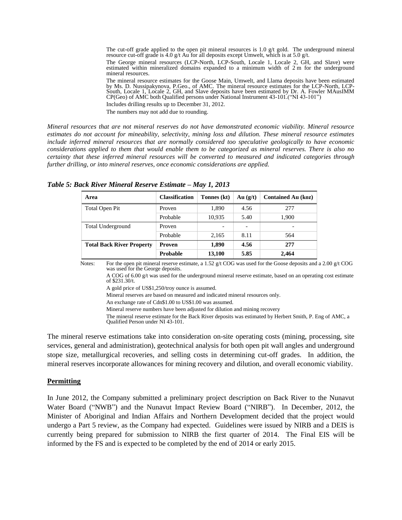The cut-off grade applied to the open pit mineral resources is 1.0  $g/t$  gold. The underground mineral resource cut-off grade is 4.0 g/t Au for all deposits except Umwelt, which is at 5.0 g/t.

The George mineral resources (LCP-North, LCP-South, Locale 1, Locale 2, GH, and Slave) were estimated within mineralized domains expanded to a minimum width of 2 m for the underground mineral resources.

The mineral resource estimates for the Goose Main, Umwelt, and Llama deposits have been estimated by Ms. D. Nussipakynova, P.Geo., of AMC. The mineral resource estimates for the LCP-North, LCP-South, Locale 1, Locale 2, GH, and Slave deposits have been estimated by Dr. A. Fowler MAusIMM CP(Geo) of AMC both Qualified persons under National Instrument 43-101.("NI 43-101")

Includes drilling results up to December 31, 2012.

The numbers may not add due to rounding.

*Mineral resources that are not mineral reserves do not have demonstrated economic viability. Mineral resource estimates do not account for mineability, selectivity, mining loss and dilution. These mineral resource estimates include inferred mineral resources that are normally considered too speculative geologically to have economic considerations applied to them that would enable them to be categorized as mineral reserves. There is also no certainty that these inferred mineral resources will be converted to measured and indicated categories through further drilling, or into mineral reserves, once economic considerations are applied.* 

| Area                             | <b>Classification</b> | Tonnes (kt) | Au(g/t)                      | <b>Contained Au (koz)</b> |
|----------------------------------|-----------------------|-------------|------------------------------|---------------------------|
| Total Open Pit                   | Proven                | 1,890       | 4.56                         | 277                       |
|                                  | Probable              | 10,935      | 5.40                         | 1,900                     |
| Total Underground                | Proven                |             | $\qquad \qquad \blacksquare$ |                           |
|                                  | Probable              | 2,165       | 8.11                         | 564                       |
| <b>Total Back River Property</b> | Proven                | 1,890       | 4.56                         | 277                       |
|                                  | <b>Probable</b>       | 13,100      | 5.85                         | 2,464                     |

*Table 5: Back River Mineral Reserve Estimate – May 1, 2013*

Notes: For the open pit mineral reserve estimate, a 1.52 g/t COG was used for the Goose deposits and a 2.00 g/t COG was used for the George deposits.

A COG of 6.00 g/t was used for the underground mineral reserve estimate, based on an operating cost estimate of \$231.30/t.

A gold price of US\$1,250/troy ounce is assumed.

Mineral reserves are based on measured and indicated mineral resources only.

An exchange rate of Cdn\$1.00 to US\$1.00 was assumed.

Mineral reserve numbers have been adjusted for dilution and mining recovery

The mineral reserve estimate for the Back River deposits was estimated by Herbert Smith, P. Eng of AMC, a Qualified Person under NI 43-101.

The mineral reserve estimations take into consideration on-site operating costs (mining, processing, site services, general and administration), geotechnical analysis for both open pit wall angles and underground stope size, metallurgical recoveries, and selling costs in determining cut-off grades. In addition, the mineral reserves incorporate allowances for mining recovery and dilution, and overall economic viability.

#### **Permitting**

In June 2012, the Company submitted a preliminary project description on Back River to the Nunavut Water Board ("NWB") and the Nunavut Impact Review Board ("NIRB"). In December, 2012, the Minister of Aboriginal and Indian Affairs and Northern Development decided that the project would undergo a Part 5 review, as the Company had expected. Guidelines were issued by NIRB and a DEIS is currently being prepared for submission to NIRB the first quarter of 2014. The Final EIS will be informed by the FS and is expected to be completed by the end of 2014 or early 2015.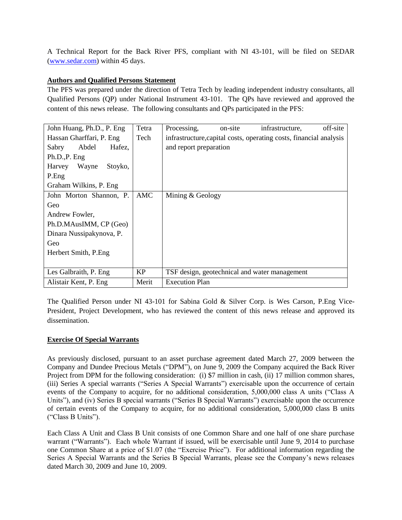A Technical Report for the Back River PFS, compliant with NI 43-101, will be filed on SEDAR [\(www.sedar.com\)](http://www.sedar.com/) within 45 days.

# **Authors and Qualified Persons Statement**

The PFS was prepared under the direction of Tetra Tech by leading independent industry consultants, all Qualified Persons (QP) under National Instrument 43-101. The QPs have reviewed and approved the content of this news release. The following consultants and QPs participated in the PFS:

| John Huang, Ph.D., P. Eng. | Tetra | off-site<br>infrastructure,<br>Processing,<br>on-site              |
|----------------------------|-------|--------------------------------------------------------------------|
| Hassan Gharffari, P. Eng.  | Tech  | infrastructure, capital costs, operating costs, financial analysis |
| Hafez,<br>Sabry<br>Abdel   |       | and report preparation                                             |
| Ph.D., P. Eng              |       |                                                                    |
| Harvey<br>Wayne<br>Stoyko, |       |                                                                    |
| P.Eng                      |       |                                                                    |
| Graham Wilkins, P. Eng.    |       |                                                                    |
| John Morton Shannon, P.    | AMC   | Mining & Geology                                                   |
| Geo                        |       |                                                                    |
| Andrew Fowler.             |       |                                                                    |
| Ph.D.MAusIMM, CP (Geo)     |       |                                                                    |
| Dinara Nussipakynova, P.   |       |                                                                    |
| Geo                        |       |                                                                    |
| Herbert Smith, P.Eng       |       |                                                                    |
|                            |       |                                                                    |
| Les Galbraith, P. Eng.     | KP    | TSF design, geotechnical and water management                      |
| Alistair Kent, P. Eng.     | Merit | <b>Execution Plan</b>                                              |

The Qualified Person under NI 43-101 for Sabina Gold & Silver Corp. is Wes Carson, P.Eng Vice-President, Project Development, who has reviewed the content of this news release and approved its dissemination.

# **Exercise Of Special Warrants**

As previously disclosed, pursuant to an asset purchase agreement dated March 27, 2009 between the Company and Dundee Precious Metals ("DPM"), on June 9, 2009 the Company acquired the Back River Project from DPM for the following consideration: (i) \$7 million in cash, (ii) 17 million common shares, (iii) Series A special warrants ("Series A Special Warrants") exercisable upon the occurrence of certain events of the Company to acquire, for no additional consideration, 5,000,000 class A units ("Class A Units"), and (iv) Series B special warrants ("Series B Special Warrants") exercisable upon the occurrence of certain events of the Company to acquire, for no additional consideration, 5,000,000 class B units ("Class B Units").

Each Class A Unit and Class B Unit consists of one Common Share and one half of one share purchase warrant ("Warrants"). Each whole Warrant if issued, will be exercisable until June 9, 2014 to purchase one Common Share at a price of \$1.07 (the "Exercise Price"). For additional information regarding the Series A Special Warrants and the Series B Special Warrants, please see the Company's news releases dated March 30, 2009 and June 10, 2009.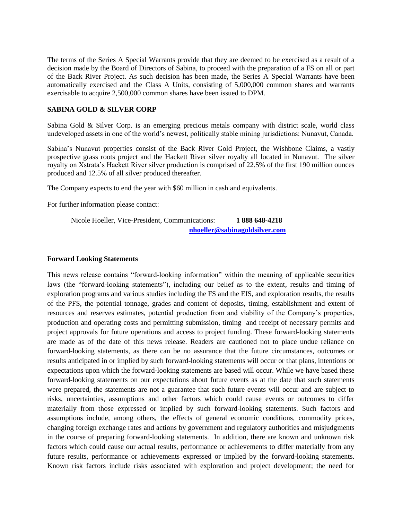The terms of the Series A Special Warrants provide that they are deemed to be exercised as a result of a decision made by the Board of Directors of Sabina, to proceed with the preparation of a FS on all or part of the Back River Project. As such decision has been made, the Series A Special Warrants have been automatically exercised and the Class A Units, consisting of 5,000,000 common shares and warrants exercisable to acquire 2,500,000 common shares have been issued to DPM.

# **SABINA GOLD & SILVER CORP**

Sabina Gold & Silver Corp. is an emerging precious metals company with district scale, world class undeveloped assets in one of the world's newest, politically stable mining jurisdictions: Nunavut, Canada.

Sabina's Nunavut properties consist of the Back River Gold Project, the Wishbone Claims, a vastly prospective grass roots project and the Hackett River silver royalty all located in Nunavut. The silver royalty on Xstrata's Hackett River silver production is comprised of 22.5% of the first 190 million ounces produced and 12.5% of all silver produced thereafter.

The Company expects to end the year with \$60 million in cash and equivalents.

For further information please contact:

Nicole Hoeller, Vice-President, Communications: **1 888 648-4218 [nhoeller@sabinagoldsilver.com](mailto:nhoeller@sabinagoldsilver.com)**

#### **Forward Looking Statements**

This news release contains "forward-looking information" within the meaning of applicable securities laws (the "forward-looking statements"), including our belief as to the extent, results and timing of exploration programs and various studies including the FS and the EIS, and exploration results, the results of the PFS, the potential tonnage, grades and content of deposits, timing, establishment and extent of resources and reserves estimates, potential production from and viability of the Company's properties, production and operating costs and permitting submission, timing and receipt of necessary permits and project approvals for future operations and access to project funding. These forward-looking statements are made as of the date of this news release. Readers are cautioned not to place undue reliance on forward-looking statements, as there can be no assurance that the future circumstances, outcomes or results anticipated in or implied by such forward-looking statements will occur or that plans, intentions or expectations upon which the forward-looking statements are based will occur. While we have based these forward-looking statements on our expectations about future events as at the date that such statements were prepared, the statements are not a guarantee that such future events will occur and are subject to risks, uncertainties, assumptions and other factors which could cause events or outcomes to differ materially from those expressed or implied by such forward-looking statements. Such factors and assumptions include, among others, the effects of general economic conditions, commodity prices, changing foreign exchange rates and actions by government and regulatory authorities and misjudgments in the course of preparing forward-looking statements. In addition, there are known and unknown risk factors which could cause our actual results, performance or achievements to differ materially from any future results, performance or achievements expressed or implied by the forward-looking statements. Known risk factors include risks associated with exploration and project development; the need for